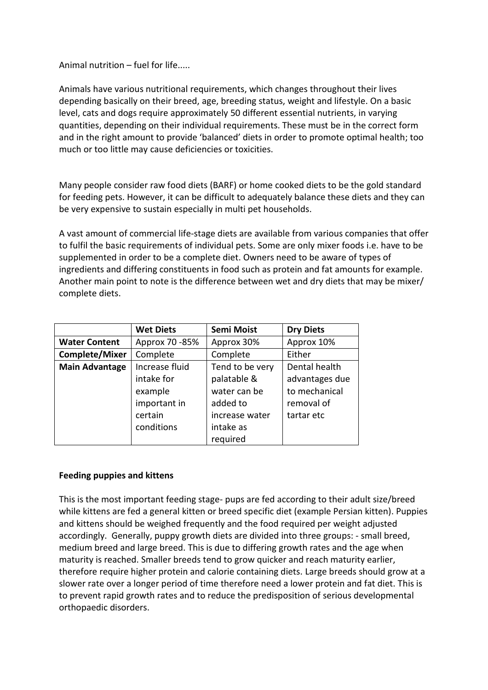Animal nutrition – fuel for life.....

Animals have various nutritional requirements, which changes throughout their lives depending basically on their breed, age, breeding status, weight and lifestyle. On a basic level, cats and dogs require approximately 50 different essential nutrients, in varying quantities, depending on their individual requirements. These must be in the correct form and in the right amount to provide 'balanced' diets in order to promote optimal health; too much or too little may cause deficiencies or toxicities.

Many people consider raw food diets (BARF) or home cooked diets to be the gold standard for feeding pets. However, it can be difficult to adequately balance these diets and they can be very expensive to sustain especially in multi pet households.

A vast amount of commercial life-stage diets are available from various companies that offer to fulfil the basic requirements of individual pets. Some are only mixer foods i.e. have to be supplemented in order to be a complete diet. Owners need to be aware of types of ingredients and differing constituents in food such as protein and fat amounts for example. Another main point to note is the difference between wet and dry diets that may be mixer/ complete diets.

|                       | <b>Wet Diets</b> | <b>Semi Moist</b> | <b>Dry Diets</b> |
|-----------------------|------------------|-------------------|------------------|
| <b>Water Content</b>  | Approx 70 - 85%  | Approx 30%        | Approx 10%       |
| <b>Complete/Mixer</b> | Complete         | Complete          | Either           |
| <b>Main Advantage</b> | Increase fluid   | Tend to be very   | Dental health    |
|                       | intake for       | palatable &       | advantages due   |
|                       | example          | water can be      | to mechanical    |
|                       | important in     | added to          | removal of       |
|                       | certain          | increase water    | tartar etc       |
|                       | conditions       | intake as         |                  |
|                       |                  | required          |                  |

# **Feeding puppies and kittens**

This is the most important feeding stage- pups are fed according to their adult size/breed while kittens are fed a general kitten or breed specific diet (example Persian kitten). Puppies and kittens should be weighed frequently and the food required per weight adjusted accordingly. Generally, puppy growth diets are divided into three groups: - small breed, medium breed and large breed. This is due to differing growth rates and the age when maturity is reached. Smaller breeds tend to grow quicker and reach maturity earlier, therefore require higher protein and calorie containing diets. Large breeds should grow at a slower rate over a longer period of time therefore need a lower protein and fat diet. This is to prevent rapid growth rates and to reduce the predisposition of serious developmental orthopaedic disorders.